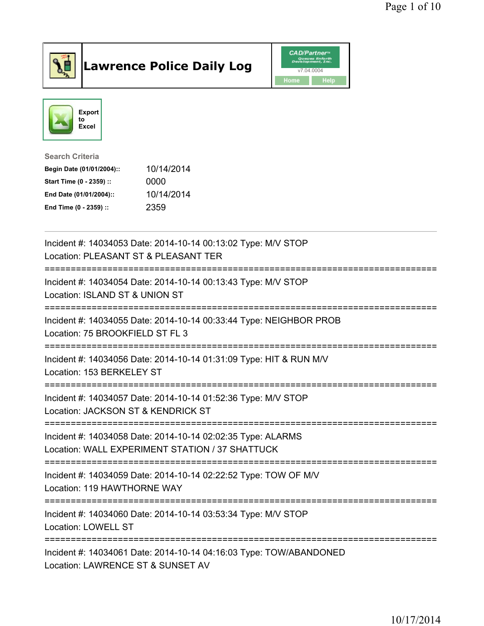

## Lawrence Police Daily Log Value of the CAD/Partner





Search Criteria Begin Date (01/01/2004):: 10/14/2014

| Degin Date (01/01/2004). | TV/T4/ZVT4 |
|--------------------------|------------|
| Start Time (0 - 2359) :: | 0000       |
| End Date (01/01/2004)::  | 10/14/2014 |
| End Time (0 - 2359) ::   | 2359       |

| Incident #: 14034053 Date: 2014-10-14 00:13:02 Type: M/V STOP<br>Location: PLEASANT ST & PLEASANT TER          |
|----------------------------------------------------------------------------------------------------------------|
| Incident #: 14034054 Date: 2014-10-14 00:13:43 Type: M/V STOP<br>Location: ISLAND ST & UNION ST                |
| Incident #: 14034055 Date: 2014-10-14 00:33:44 Type: NEIGHBOR PROB<br>Location: 75 BROOKFIELD ST FL 3          |
| Incident #: 14034056 Date: 2014-10-14 01:31:09 Type: HIT & RUN M/V<br>Location: 153 BERKELEY ST                |
| Incident #: 14034057 Date: 2014-10-14 01:52:36 Type: M/V STOP<br>Location: JACKSON ST & KENDRICK ST            |
| Incident #: 14034058 Date: 2014-10-14 02:02:35 Type: ALARMS<br>Location: WALL EXPERIMENT STATION / 37 SHATTUCK |
| Incident #: 14034059 Date: 2014-10-14 02:22:52 Type: TOW OF M/V<br>Location: 119 HAWTHORNE WAY                 |
| Incident #: 14034060 Date: 2014-10-14 03:53:34 Type: M/V STOP<br>Location: LOWELL ST                           |
| Incident #: 14034061 Date: 2014-10-14 04:16:03 Type: TOW/ABANDONED<br>Location: LAWRENCE ST & SUNSET AV        |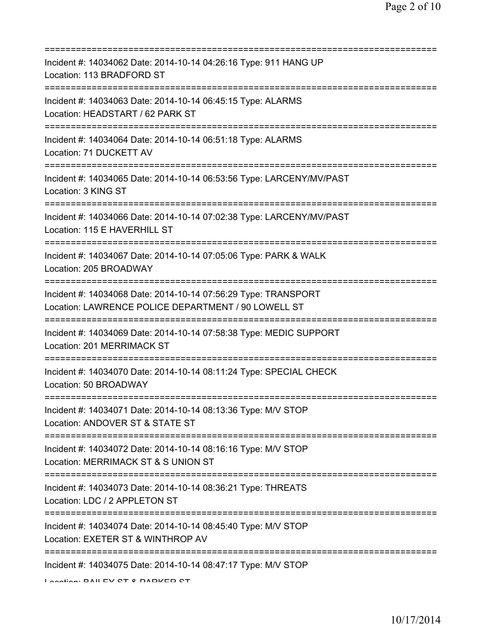| Incident #: 14034062 Date: 2014-10-14 04:26:16 Type: 911 HANG UP<br>Location: 113 BRADFORD ST                                                              |
|------------------------------------------------------------------------------------------------------------------------------------------------------------|
| Incident #: 14034063 Date: 2014-10-14 06:45:15 Type: ALARMS<br>Location: HEADSTART / 62 PARK ST                                                            |
| Incident #: 14034064 Date: 2014-10-14 06:51:18 Type: ALARMS<br>Location: 71 DUCKETT AV                                                                     |
| Incident #: 14034065 Date: 2014-10-14 06:53:56 Type: LARCENY/MV/PAST<br>Location: 3 KING ST                                                                |
| Incident #: 14034066 Date: 2014-10-14 07:02:38 Type: LARCENY/MV/PAST<br>Location: 115 E HAVERHILL ST                                                       |
| Incident #: 14034067 Date: 2014-10-14 07:05:06 Type: PARK & WALK<br>Location: 205 BROADWAY                                                                 |
| Incident #: 14034068 Date: 2014-10-14 07:56:29 Type: TRANSPORT<br>Location: LAWRENCE POLICE DEPARTMENT / 90 LOWELL ST<br>================================= |
| Incident #: 14034069 Date: 2014-10-14 07:58:38 Type: MEDIC SUPPORT<br>Location: 201 MERRIMACK ST                                                           |
| Incident #: 14034070 Date: 2014-10-14 08:11:24 Type: SPECIAL CHECK<br>Location: 50 BROADWAY                                                                |
| ======================================<br>Incident #: 14034071 Date: 2014-10-14 08:13:36 Type: M/V STOP<br>Location: ANDOVER ST & STATE ST                 |
| Incident #: 14034072 Date: 2014-10-14 08:16:16 Type: M/V STOP<br>Location: MERRIMACK ST & S UNION ST                                                       |
| Incident #: 14034073 Date: 2014-10-14 08:36:21 Type: THREATS<br>Location: LDC / 2 APPLETON ST                                                              |
| =====================================<br>Incident #: 14034074 Date: 2014-10-14 08:45:40 Type: M/V STOP<br>Location: EXETER ST & WINTHROP AV                |
| Incident #: 14034075 Date: 2014-10-14 08:47:17 Type: M/V STOP                                                                                              |

Location: BAILEV CT & DADIZED CT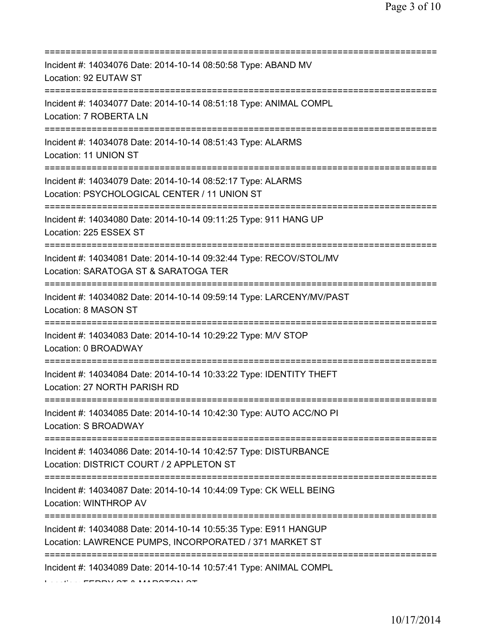| Incident #: 14034076 Date: 2014-10-14 08:50:58 Type: ABAND MV<br>Location: 92 EUTAW ST                                                    |
|-------------------------------------------------------------------------------------------------------------------------------------------|
| Incident #: 14034077 Date: 2014-10-14 08:51:18 Type: ANIMAL COMPL<br>Location: 7 ROBERTA LN                                               |
| Incident #: 14034078 Date: 2014-10-14 08:51:43 Type: ALARMS<br>Location: 11 UNION ST                                                      |
| Incident #: 14034079 Date: 2014-10-14 08:52:17 Type: ALARMS<br>Location: PSYCHOLOGICAL CENTER / 11 UNION ST                               |
| Incident #: 14034080 Date: 2014-10-14 09:11:25 Type: 911 HANG UP<br>Location: 225 ESSEX ST<br>===============================             |
| Incident #: 14034081 Date: 2014-10-14 09:32:44 Type: RECOV/STOL/MV<br>Location: SARATOGA ST & SARATOGA TER                                |
| Incident #: 14034082 Date: 2014-10-14 09:59:14 Type: LARCENY/MV/PAST<br>Location: 8 MASON ST<br>=================                         |
| Incident #: 14034083 Date: 2014-10-14 10:29:22 Type: M/V STOP<br>Location: 0 BROADWAY                                                     |
| Incident #: 14034084 Date: 2014-10-14 10:33:22 Type: IDENTITY THEFT<br>Location: 27 NORTH PARISH RD                                       |
| Incident #: 14034085 Date: 2014-10-14 10:42:30 Type: AUTO ACC/NO PI<br>Location: S BROADWAY                                               |
| Incident #: 14034086 Date: 2014-10-14 10:42:57 Type: DISTURBANCE<br>Location: DISTRICT COURT / 2 APPLETON ST<br>========================= |
| Incident #: 14034087 Date: 2014-10-14 10:44:09 Type: CK WELL BEING<br>Location: WINTHROP AV                                               |
| Incident #: 14034088 Date: 2014-10-14 10:55:35 Type: E911 HANGUP<br>Location: LAWRENCE PUMPS, INCORPORATED / 371 MARKET ST                |
| Incident #: 14034089 Date: 2014-10-14 10:57:41 Type: ANIMAL COMPL                                                                         |

Location: FERRY ST & MARSTON ST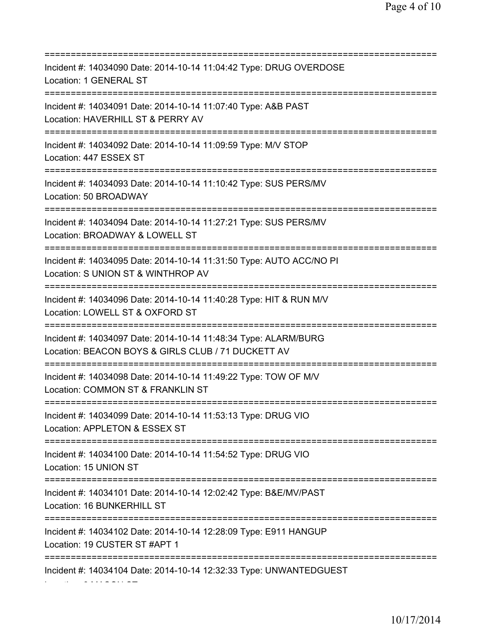=========================================================================== Incident #: 14034090 Date: 2014-10-14 11:04:42 Type: DRUG OVERDOSE Location: 1 GENERAL ST =========================================================================== Incident #: 14034091 Date: 2014-10-14 11:07:40 Type: A&B PAST Location: HAVERHILL ST & PERRY AV =========================================================================== Incident #: 14034092 Date: 2014-10-14 11:09:59 Type: M/V STOP Location: 447 ESSEX ST =========================================================================== Incident #: 14034093 Date: 2014-10-14 11:10:42 Type: SUS PERS/MV Location: 50 BROADWAY =========================================================================== Incident #: 14034094 Date: 2014-10-14 11:27:21 Type: SUS PERS/MV Location: BROADWAY & LOWELL ST =========================================================================== Incident #: 14034095 Date: 2014-10-14 11:31:50 Type: AUTO ACC/NO PI Location: S UNION ST & WINTHROP AV =========================================================================== Incident #: 14034096 Date: 2014-10-14 11:40:28 Type: HIT & RUN M/V Location: LOWELL ST & OXFORD ST =========================================================================== Incident #: 14034097 Date: 2014-10-14 11:48:34 Type: ALARM/BURG Location: BEACON BOYS & GIRLS CLUB / 71 DUCKETT AV =========================================================================== Incident #: 14034098 Date: 2014-10-14 11:49:22 Type: TOW OF M/V Location: COMMON ST & FRANKLIN ST =========================================================================== Incident #: 14034099 Date: 2014-10-14 11:53:13 Type: DRUG VIO Location: APPLETON & ESSEX ST =========================================================================== Incident #: 14034100 Date: 2014-10-14 11:54:52 Type: DRUG VIO Location: 15 UNION ST =========================================================================== Incident #: 14034101 Date: 2014-10-14 12:02:42 Type: B&E/MV/PAST Location: 16 BUNKERHILL ST =========================================================================== Incident #: 14034102 Date: 2014-10-14 12:28:09 Type: E911 HANGUP Location: 19 CUSTER ST #APT 1 =========================================================================== Incident #: 14034104 Date: 2014-10-14 12:32:33 Type: UNWANTEDGUEST

Location: 8 MASON ST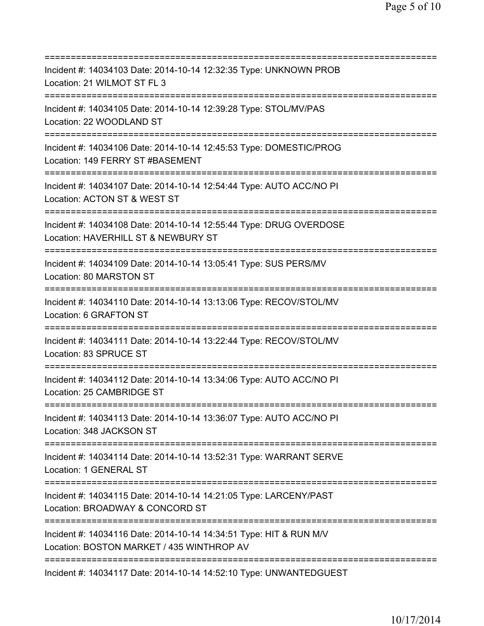=========================================================================== Incident #: 14034103 Date: 2014-10-14 12:32:35 Type: UNKNOWN PROB Location: 21 WILMOT ST FL 3 =========================================================================== Incident #: 14034105 Date: 2014-10-14 12:39:28 Type: STOL/MV/PAS Location: 22 WOODLAND ST =========================================================================== Incident #: 14034106 Date: 2014-10-14 12:45:53 Type: DOMESTIC/PROG Location: 149 FERRY ST #BASEMENT =========================================================================== Incident #: 14034107 Date: 2014-10-14 12:54:44 Type: AUTO ACC/NO PI Location: ACTON ST & WEST ST =========================================================================== Incident #: 14034108 Date: 2014-10-14 12:55:44 Type: DRUG OVERDOSE Location: HAVERHILL ST & NEWBURY ST =========================================================================== Incident #: 14034109 Date: 2014-10-14 13:05:41 Type: SUS PERS/MV Location: 80 MARSTON ST =========================================================================== Incident #: 14034110 Date: 2014-10-14 13:13:06 Type: RECOV/STOL/MV Location: 6 GRAFTON ST =========================================================================== Incident #: 14034111 Date: 2014-10-14 13:22:44 Type: RECOV/STOL/MV Location: 83 SPRUCE ST =========================================================================== Incident #: 14034112 Date: 2014-10-14 13:34:06 Type: AUTO ACC/NO PI Location: 25 CAMBRIDGE ST =========================================================================== Incident #: 14034113 Date: 2014-10-14 13:36:07 Type: AUTO ACC/NO PI Location: 348 JACKSON ST =========================================================================== Incident #: 14034114 Date: 2014-10-14 13:52:31 Type: WARRANT SERVE Location: 1 GENERAL ST =========================================================================== Incident #: 14034115 Date: 2014-10-14 14:21:05 Type: LARCENY/PAST Location: BROADWAY & CONCORD ST =========================================================================== Incident #: 14034116 Date: 2014-10-14 14:34:51 Type: HIT & RUN M/V Location: BOSTON MARKET / 435 WINTHROP AV =========================================================================== Incident #: 14034117 Date: 2014-10-14 14:52:10 Type: UNWANTEDGUEST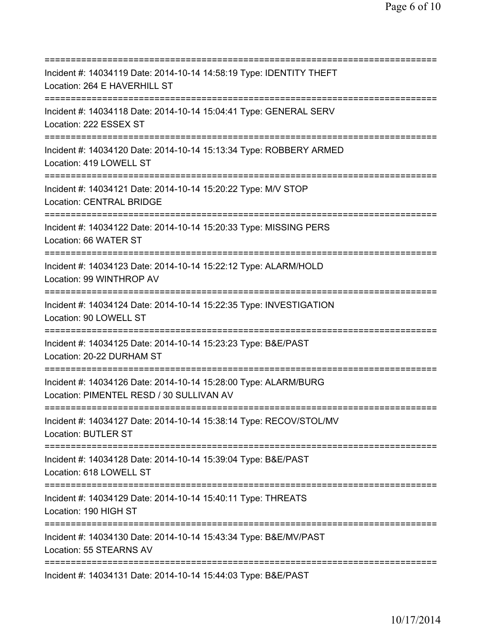=========================================================================== Incident #: 14034119 Date: 2014-10-14 14:58:19 Type: IDENTITY THEFT Location: 264 E HAVERHILL ST =========================================================================== Incident #: 14034118 Date: 2014-10-14 15:04:41 Type: GENERAL SERV Location: 222 ESSEX ST =========================================================================== Incident #: 14034120 Date: 2014-10-14 15:13:34 Type: ROBBERY ARMED Location: 419 LOWELL ST =========================================================================== Incident #: 14034121 Date: 2014-10-14 15:20:22 Type: M/V STOP Location: CENTRAL BRIDGE =========================================================================== Incident #: 14034122 Date: 2014-10-14 15:20:33 Type: MISSING PERS Location: 66 WATER ST =========================================================================== Incident #: 14034123 Date: 2014-10-14 15:22:12 Type: ALARM/HOLD Location: 99 WINTHROP AV =========================================================================== Incident #: 14034124 Date: 2014-10-14 15:22:35 Type: INVESTIGATION Location: 90 LOWELL ST =========================================================================== Incident #: 14034125 Date: 2014-10-14 15:23:23 Type: B&E/PAST Location: 20-22 DURHAM ST =========================================================================== Incident #: 14034126 Date: 2014-10-14 15:28:00 Type: ALARM/BURG Location: PIMENTEL RESD / 30 SULLIVAN AV =========================================================================== Incident #: 14034127 Date: 2014-10-14 15:38:14 Type: RECOV/STOL/MV Location: BUTLER ST =========================================================================== Incident #: 14034128 Date: 2014-10-14 15:39:04 Type: B&E/PAST Location: 618 LOWELL ST =========================================================================== Incident #: 14034129 Date: 2014-10-14 15:40:11 Type: THREATS Location: 190 HIGH ST =========================================================================== Incident #: 14034130 Date: 2014-10-14 15:43:34 Type: B&E/MV/PAST Location: 55 STEARNS AV =========================================================================== Incident #: 14034131 Date: 2014-10-14 15:44:03 Type: B&E/PAST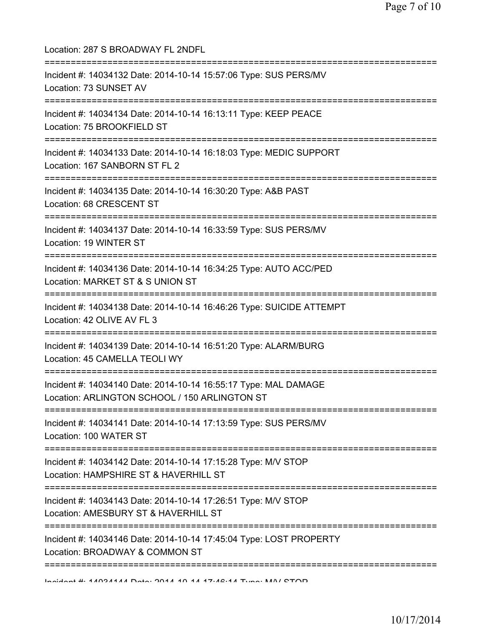| Location: 287 S BROADWAY FL 2NDFL                                                                                                   |
|-------------------------------------------------------------------------------------------------------------------------------------|
| Incident #: 14034132 Date: 2014-10-14 15:57:06 Type: SUS PERS/MV<br>Location: 73 SUNSET AV<br>======================                |
| Incident #: 14034134 Date: 2014-10-14 16:13:11 Type: KEEP PEACE<br>Location: 75 BROOKFIELD ST<br>---------------------------------- |
| Incident #: 14034133 Date: 2014-10-14 16:18:03 Type: MEDIC SUPPORT<br>Location: 167 SANBORN ST FL 2                                 |
| Incident #: 14034135 Date: 2014-10-14 16:30:20 Type: A&B PAST<br>Location: 68 CRESCENT ST                                           |
| Incident #: 14034137 Date: 2014-10-14 16:33:59 Type: SUS PERS/MV<br>Location: 19 WINTER ST                                          |
| Incident #: 14034136 Date: 2014-10-14 16:34:25 Type: AUTO ACC/PED<br>Location: MARKET ST & S UNION ST                               |
| Incident #: 14034138 Date: 2014-10-14 16:46:26 Type: SUICIDE ATTEMPT<br>Location: 42 OLIVE AV FL 3                                  |
| Incident #: 14034139 Date: 2014-10-14 16:51:20 Type: ALARM/BURG<br>Location: 45 CAMELLA TEOLI WY                                    |
| Incident #: 14034140 Date: 2014-10-14 16:55:17 Type: MAL DAMAGE<br>Location: ARLINGTON SCHOOL / 150 ARLINGTON ST                    |
| Incident #: 14034141 Date: 2014-10-14 17:13:59 Type: SUS PERS/MV<br>Location: 100 WATER ST                                          |
| Incident #: 14034142 Date: 2014-10-14 17:15:28 Type: M/V STOP<br>Location: HAMPSHIRE ST & HAVERHILL ST                              |
| Incident #: 14034143 Date: 2014-10-14 17:26:51 Type: M/V STOP<br>Location: AMESBURY ST & HAVERHILL ST                               |
| Incident #: 14034146 Date: 2014-10-14 17:45:04 Type: LOST PROPERTY<br>Location: BROADWAY & COMMON ST                                |
| ============<br>Individual # 4.000 AAA Dota OOAA AD A A TURAL Turna MAN CTOD                                                        |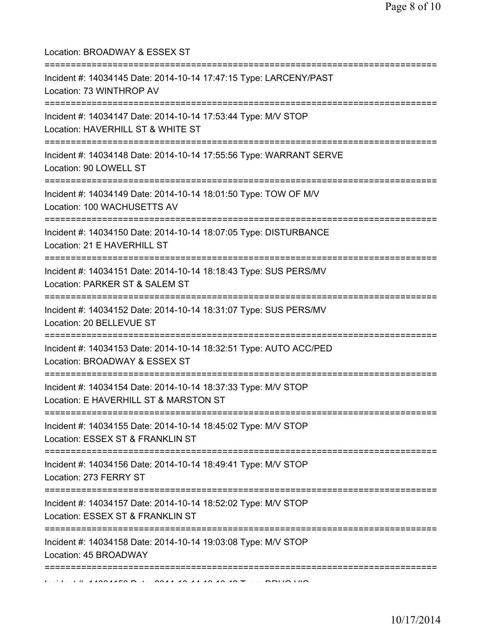| Location: BROADWAY & ESSEX ST<br>========================                                                                            |
|--------------------------------------------------------------------------------------------------------------------------------------|
| Incident #: 14034145 Date: 2014-10-14 17:47:15 Type: LARCENY/PAST<br>Location: 73 WINTHROP AV                                        |
| Incident #: 14034147 Date: 2014-10-14 17:53:44 Type: M/V STOP<br>Location: HAVERHILL ST & WHITE ST                                   |
| Incident #: 14034148 Date: 2014-10-14 17:55:56 Type: WARRANT SERVE<br>Location: 90 LOWELL ST                                         |
| Incident #: 14034149 Date: 2014-10-14 18:01:50 Type: TOW OF M/V<br>Location: 100 WACHUSETTS AV                                       |
| Incident #: 14034150 Date: 2014-10-14 18:07:05 Type: DISTURBANCE<br>Location: 21 E HAVERHILL ST<br>================================= |
| Incident #: 14034151 Date: 2014-10-14 18:18:43 Type: SUS PERS/MV<br>Location: PARKER ST & SALEM ST                                   |
| Incident #: 14034152 Date: 2014-10-14 18:31:07 Type: SUS PERS/MV<br>Location: 20 BELLEVUE ST                                         |
| Incident #: 14034153 Date: 2014-10-14 18:32:51 Type: AUTO ACC/PED<br>Location: BROADWAY & ESSEX ST                                   |
| Incident #: 14034154 Date: 2014-10-14 18:37:33 Type: M/V STOP<br>Location: E HAVERHILL ST & MARSTON ST                               |
| Incident #: 14034155 Date: 2014-10-14 18:45:02 Type: M/V STOP<br>Location: ESSEX ST & FRANKLIN ST                                    |
| Incident #: 14034156 Date: 2014-10-14 18:49:41 Type: M/V STOP<br>Location: 273 FERRY ST                                              |
| Incident #: 14034157 Date: 2014-10-14 18:52:02 Type: M/V STOP<br>Location: ESSEX ST & FRANKLIN ST                                    |
| Incident #: 14034158 Date: 2014-10-14 19:03:08 Type: M/V STOP<br>Location: 45 BROADWAY                                               |
| ================================                                                                                                     |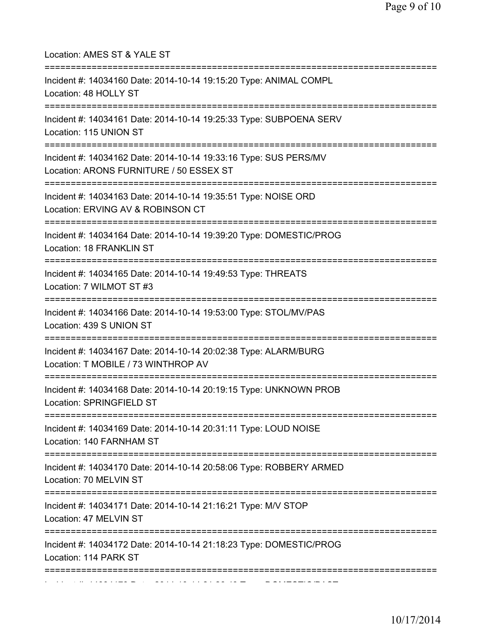| Location: AMES ST & YALE ST<br>=====================================                                                               |
|------------------------------------------------------------------------------------------------------------------------------------|
| Incident #: 14034160 Date: 2014-10-14 19:15:20 Type: ANIMAL COMPL<br>Location: 48 HOLLY ST<br>==================================== |
| Incident #: 14034161 Date: 2014-10-14 19:25:33 Type: SUBPOENA SERV<br>Location: 115 UNION ST                                       |
| Incident #: 14034162 Date: 2014-10-14 19:33:16 Type: SUS PERS/MV<br>Location: ARONS FURNITURE / 50 ESSEX ST                        |
| Incident #: 14034163 Date: 2014-10-14 19:35:51 Type: NOISE ORD<br>Location: ERVING AV & ROBINSON CT                                |
| Incident #: 14034164 Date: 2014-10-14 19:39:20 Type: DOMESTIC/PROG<br>Location: 18 FRANKLIN ST                                     |
| Incident #: 14034165 Date: 2014-10-14 19:49:53 Type: THREATS<br>Location: 7 WILMOT ST #3                                           |
| Incident #: 14034166 Date: 2014-10-14 19:53:00 Type: STOL/MV/PAS<br>Location: 439 S UNION ST                                       |
| Incident #: 14034167 Date: 2014-10-14 20:02:38 Type: ALARM/BURG<br>Location: T MOBILE / 73 WINTHROP AV                             |
| ==============================<br>Incident #: 14034168 Date: 2014-10-14 20:19:15 Type: UNKNOWN PROB<br>Location: SPRINGFIELD ST    |
| =============================<br>Incident #: 14034169 Date: 2014-10-14 20:31:11 Type: LOUD NOISE<br>Location: 140 FARNHAM ST       |
| Incident #: 14034170 Date: 2014-10-14 20:58:06 Type: ROBBERY ARMED<br>Location: 70 MELVIN ST                                       |
| Incident #: 14034171 Date: 2014-10-14 21:16:21 Type: M/V STOP<br>Location: 47 MELVIN ST                                            |
| Incident #: 14034172 Date: 2014-10-14 21:18:23 Type: DOMESTIC/PROG<br>Location: 114 PARK ST                                        |
| ===================================                                                                                                |